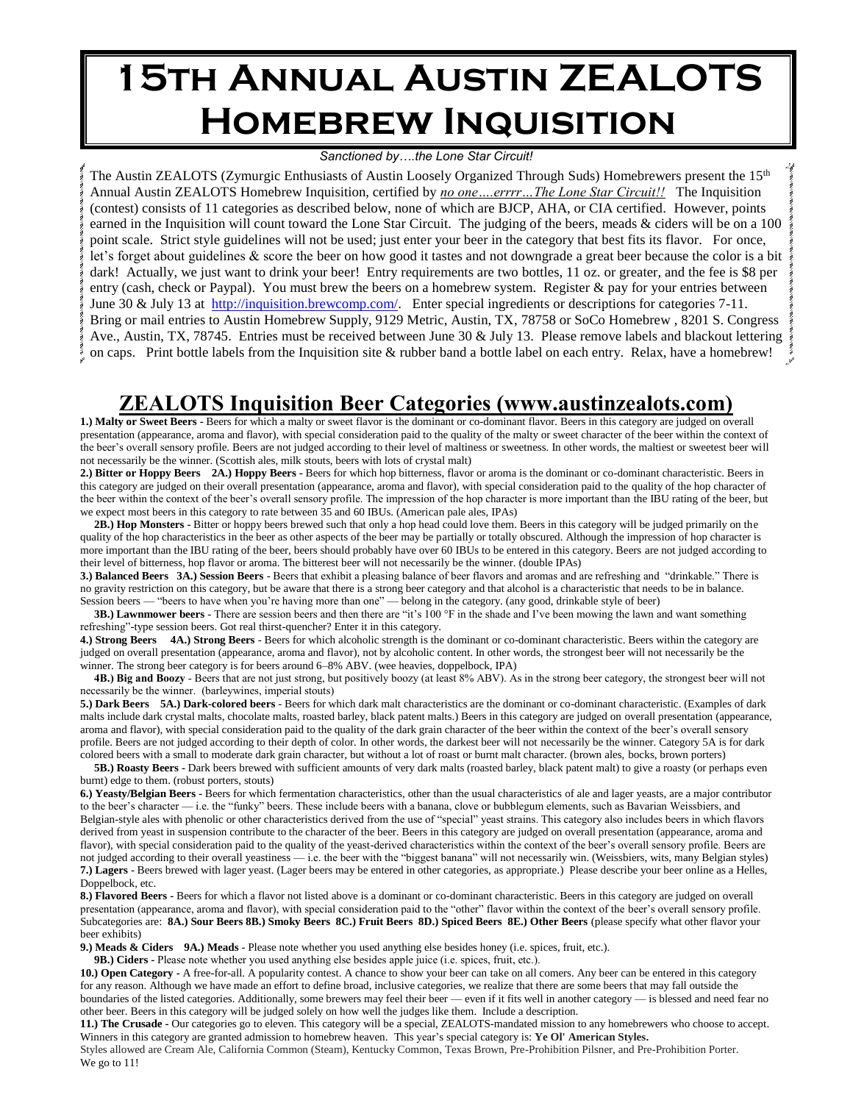# **15th Annual Austin ZEALOTS Homebrew Inquisition**

#### *Sanctioned by….the Lone Star Circuit!*

The Austin ZEALOTS (Zymurgic Enthusiasts of Austin Loosely Organized Through Suds) Homebrewers present the 15<sup>th</sup> Annual Austin ZEALOTS Homebrew Inquisition, certified by *no one….errrr…The Lone Star Circuit!!* The Inquisition (contest) consists of 11 categories as described below, none of which are BJCP, AHA, or CIA certified. However, points earned in the Inquisition will count toward the Lone Star Circuit. The judging of the beers, meads & ciders will be on a 100 point scale. Strict style guidelines will not be used; just enter your beer in the category that best fits its flavor. For once, let's forget about guidelines & score the beer on how good it tastes and not downgrade a great beer because the color is a bit dark! Actually, we just want to drink your beer! Entry requirements are two bottles, 11 oz. or greater, and the fee is \$8 per entry (cash, check or Paypal). You must brew the beers on a homebrew system. Register & pay for your entries between June 30 & July 13 at [http://inquisition.brewcomp.com/.](http://inquisition.brewcomp.com/) Enter special ingredients or descriptions for categories 7-11. Bring or mail entries to Austin Homebrew Supply, 9129 Metric, Austin, TX, 78758 or SoCo Homebrew , 8201 S. Congress Ave., Austin, TX, 78745. Entries must be received between June 30 & July 13. Please remove labels and blackout lettering on caps. Print bottle labels from the Inquisition site & rubber band a bottle label on each entry. Relax, have a homebrew!

## **ZEALOTS Inquisition Beer Categories (www.austinzealots.com)**

**1.) Malty or Sweet Beers -** Beers for which a malty or sweet flavor is the dominant or co-dominant flavor. Beers in this category are judged on overall presentation (appearance, aroma and flavor), with special consideration paid to the quality of the malty or sweet character of the beer within the context of the beer's overall sensory profile. Beers are not judged according to their level of maltiness or sweetness. In other words, the maltiest or sweetest beer will not necessarily be the winner. (Scottish ales, milk stouts, beers with lots of crystal malt)

**2.) Bitter or Hoppy Beers 2A.) Hoppy Beers -** Beers for which hop bitterness, flavor or aroma is the dominant or co-dominant characteristic. Beers in this category are judged on their overall presentation (appearance, aroma and flavor), with special consideration paid to the quality of the hop character of the beer within the context of the beer's overall sensory profile. The impression of the hop character is more important than the IBU rating of the beer, but we expect most beers in this category to rate between 35 and 60 IBUs. (American pale ales, IPAs)

 **2B.) Hop Monsters -** Bitter or hoppy beers brewed such that only a hop head could love them. Beers in this category will be judged primarily on the quality of the hop characteristics in the beer as other aspects of the beer may be partially or totally obscured. Although the impression of hop character is more important than the IBU rating of the beer, beers should probably have over 60 IBUs to be entered in this category. Beers are not judged according to their level of bitterness, hop flavor or aroma. The bitterest beer will not necessarily be the winner. (double IPAs)

**3.) Balanced Beers 3A.) Session Beers** - Beers that exhibit a pleasing balance of beer flavors and aromas and are refreshing and "drinkable." There is no gravity restriction on this category, but be aware that there is a strong beer category and that alcohol is a characteristic that needs to be in balance. Session beers — "beers to have when you're having more than one" — belong in the category. (any good, drinkable style of beer)

**3B.) Lawnmower beers** - There are session beers and then there are "it's 100 °F in the shade and I've been mowing the lawn and want something refreshing"-type session beers. Got real thirst-quencher? Enter it in this category.

**4.) Strong Beers 4A.) Strong Beers** - Beers for which alcoholic strength is the dominant or co-dominant characteristic. Beers within the category are judged on overall presentation (appearance, aroma and flavor), not by alcoholic content. In other words, the strongest beer will not necessarily be the winner. The strong beer category is for beers around 6–8% ABV. (wee heavies, doppelbock, IPA)

**4B.) Big and Boozy** - Beers that are not just strong, but positively boozy (at least 8% ABV). As in the strong beer category, the strongest beer will not necessarily be the winner. (barleywines, imperial stouts)

**5.) Dark Beers 5A.) Dark-colored beers** - Beers for which dark malt characteristics are the dominant or co-dominant characteristic. (Examples of dark malts include dark crystal malts, chocolate malts, roasted barley, black patent malts.) Beers in this category are judged on overall presentation (appearance, aroma and flavor), with special consideration paid to the quality of the dark grain character of the beer within the context of the beer's overall sensory profile. Beers are not judged according to their depth of color. In other words, the darkest beer will not necessarily be the winner. Category 5A is for dark colored beers with a small to moderate dark grain character, but without a lot of roast or burnt malt character. (brown ales, bocks, brown porters)

**5B.) Roasty Beers -** Dark beers brewed with sufficient amounts of very dark malts (roasted barley, black patent malt) to give a roasty (or perhaps even burnt) edge to them. (robust porters, stouts)

**6.) Yeasty/Belgian Beers -** Beers for which fermentation characteristics, other than the usual characteristics of ale and lager yeasts, are a major contributor to the beer's character — i.e. the "funky" beers. These include beers with a banana, clove or bubblegum elements, such as Bavarian Weissbiers, and Belgian-style ales with phenolic or other characteristics derived from the use of "special" yeast strains. This category also includes beers in which flavors derived from yeast in suspension contribute to the character of the beer. Beers in this category are judged on overall presentation (appearance, aroma and flavor), with special consideration paid to the quality of the yeast-derived characteristics within the context of the beer's overall sensory profile. Beers are not judged according to their overall yeastiness — i.e. the beer with the "biggest banana" will not necessarily win. (Weissbiers, wits, many Belgian styles) **7.) Lagers** - Beers brewed with lager yeast. (Lager beers may be entered in other categories, as appropriate.) Please describe your beer online as a Helles, Doppelbock, etc.

**8.) Flavored Beers -** Beers for which a flavor not listed above is a dominant or co-dominant characteristic. Beers in this category are judged on overall presentation (appearance, aroma and flavor), with special consideration paid to the "other" flavor within the context of the beer's overall sensory profile. Subcategories are: **8A.) Sour Beers 8B.) Smoky Beers 8C.) Fruit Beers 8D.) Spiced Beers 8E.) Other Beers** (please specify what other flavor your beer exhibits)

**9.) Meads & Ciders 9A.) Meads** - Please note whether you used anything else besides honey (i.e. spices, fruit, etc.).

 **9B.) Ciders -** Please note whether you used anything else besides apple juice (i.e. spices, fruit, etc.).

**10.) Open Category -** A free-for-all. A popularity contest. A chance to show your beer can take on all comers. Any beer can be entered in this category for any reason. Although we have made an effort to define broad, inclusive categories, we realize that there are some beers that may fall outside the boundaries of the listed categories. Additionally, some brewers may feel their beer — even if it fits well in another category — is blessed and need fear no other beer. Beers in this category will be judged solely on how well the judges like them. Include a description.

**11.) The Crusade -** Our categories go to eleven. This category will be a special, ZEALOTS-mandated mission to any homebrewers who choose to accept. Winners in this category are granted admission to homebrew heaven. This year's special category is: **Ye Ol' American Styles.**

Styles allowed are Cream Ale, California Common (Steam), Kentucky Common, Texas Brown, Pre-Prohibition Pilsner, and Pre-Prohibition Porter. We go to 11!